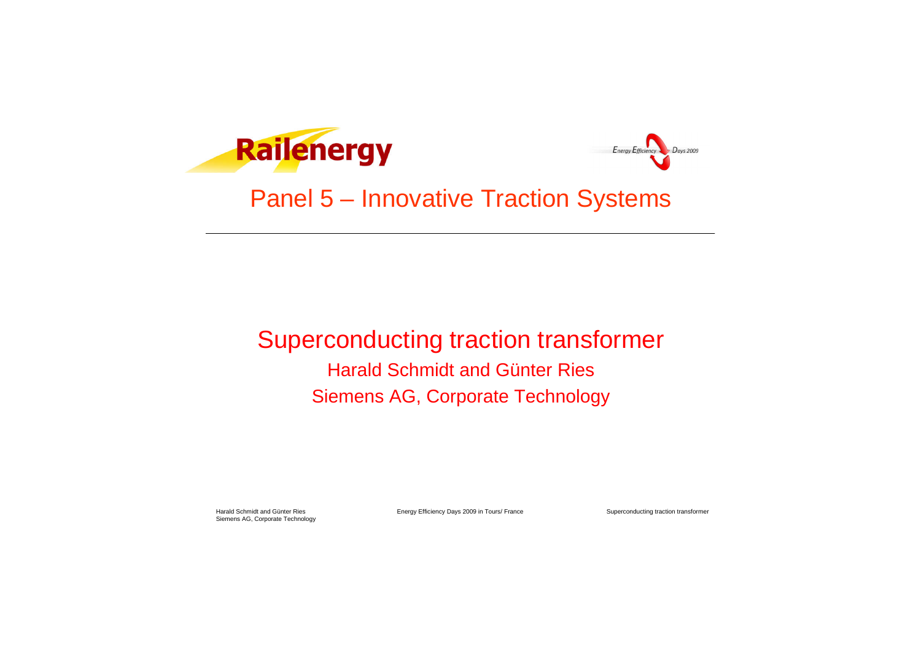Harald Schmidt and Günter Ries **Energy Efficiency Days 2009 in Tours/ France** 

Superconducting traction transformer





# Panel 5 – Innovative Traction Systems

### Superconducting traction transformer Harald Schmidt and Günter Ries Siemens AG, Corporate Technology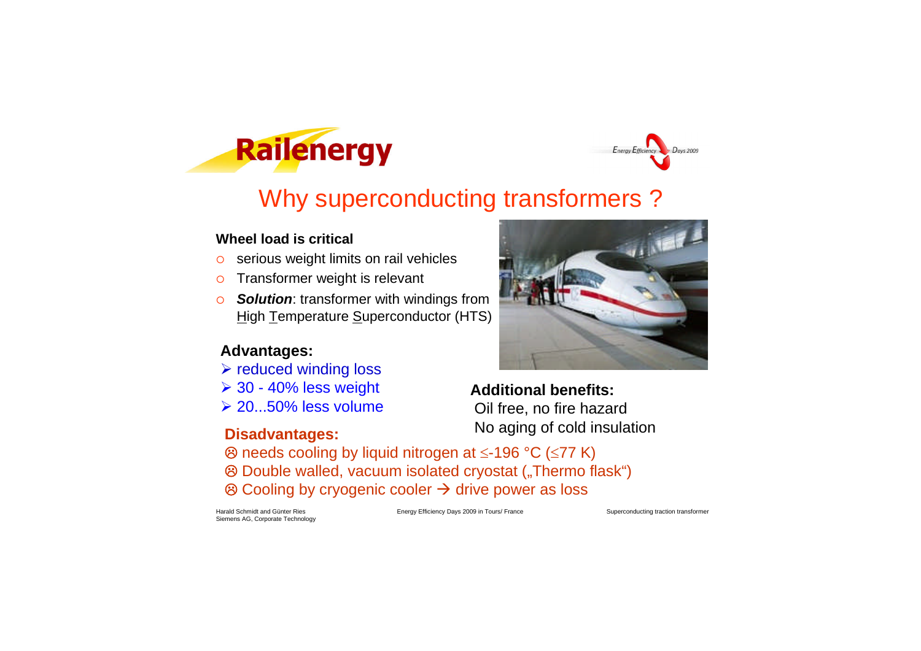Harald Schmidt and Günter Ries **Energy Efficiency Days 2009 in Tours/ France** 

Superconducting traction transformer

 $D$ ays 2009

Energy Efficiency



**Railenergy** 

## Why superconducting transformers ?

#### **Wheel load is critical**

- o serious weight limits on rail vehicles
- o Transformer weight is relevant
- **Solution:** transformer with windings from **High Temperature Superconductor (HTS)**

#### **Advantages:**

- **▶ reduced winding loss**
- **▶ 30 40% less weight**
- **20...50% less volume**



**Additional benefits:** Oil free, no fire hazard No aging of cold insulation **Disadvantages:**

- $\circledR$  needs cooling by liquid nitrogen at  $\leq$ -196  $\circ$ C ( $\leq$ 77 K)
- <sup>8</sup> Double walled, vacuum isolated cryostat ("Thermo flask")
- $\circledR$  Cooling by cryogenic cooler  $\rightarrow$  drive power as loss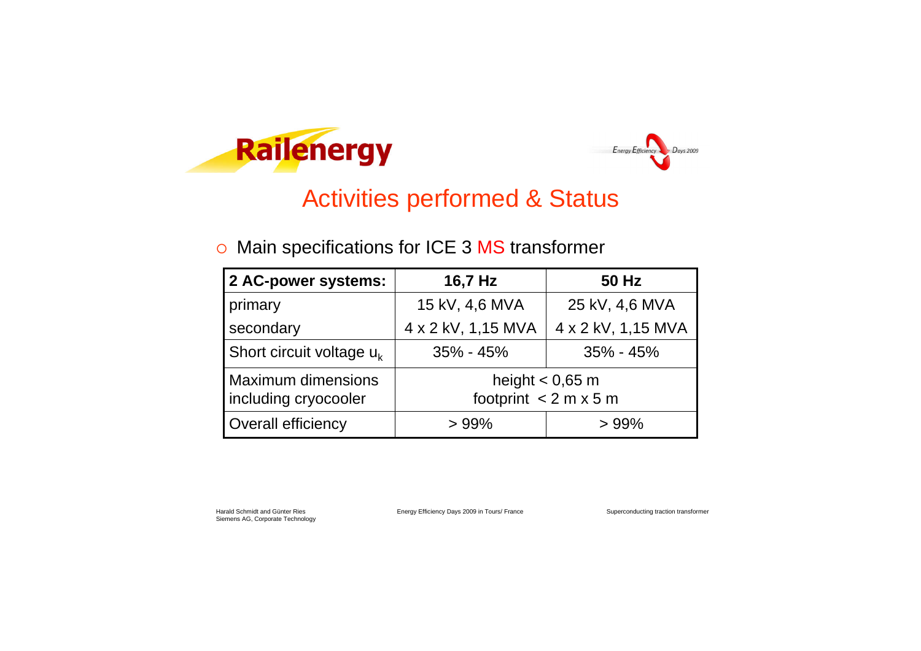Harald Schmidt and Günter Ries **Energy Efficiency Days 2009 in Tours/ France** 

Superconducting traction transformer





### Activities performed & Status

### o Main specifications for ICE 3 MS transformer

| 2 AC-power systems:                               | 16,7 Hz                                           | <b>50 Hz</b>       |  |  |
|---------------------------------------------------|---------------------------------------------------|--------------------|--|--|
| primary                                           | 15 kV, 4,6 MVA                                    | 25 kV, 4,6 MVA     |  |  |
| secondary                                         | 4 x 2 kV, 1,15 MVA                                | 4 x 2 kV, 1,15 MVA |  |  |
| Short circuit voltage $u_k$                       | $35\% - 45\%$                                     | $35\% - 45\%$      |  |  |
| <b>Maximum dimensions</b><br>including cryocooler | height $<$ 0,65 m<br>footprint $< 2 m \times 5 m$ |                    |  |  |
| <b>Overall efficiency</b>                         | $>99\%$                                           | $>99\%$            |  |  |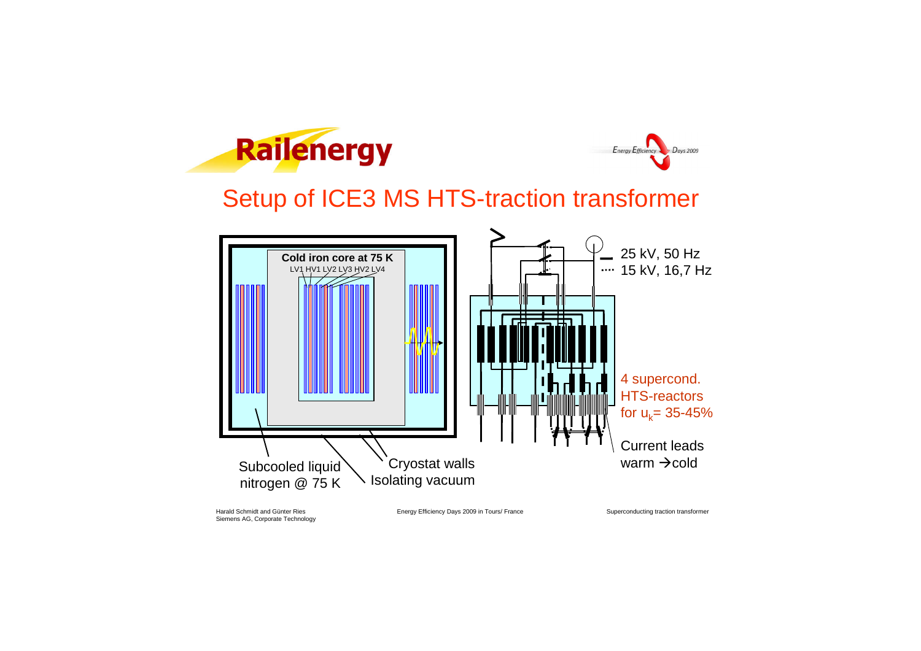Harald Schmidt and Günter Ries **Energy Efficiency Days 2009 in Tours/ France** 

Superconducting traction transformer





### Setup of ICE3 MS HTS-traction transformer

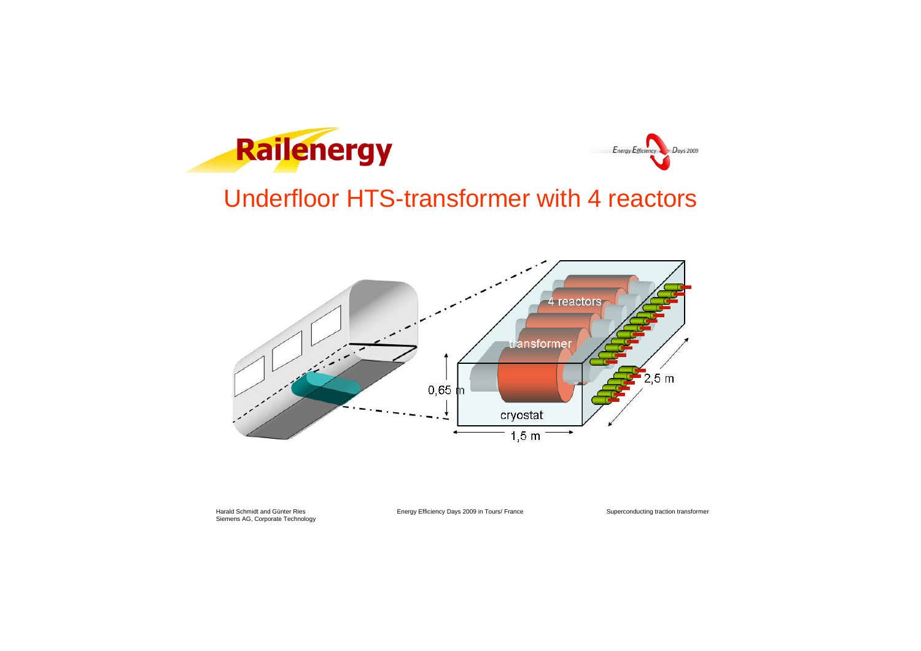Harald Schmidt and Günter Ries **Energy Efficiency Days 2009 in Tours/ France** 

Superconducting traction transformer





# Underfloor HTS-transformer with 4 reactors

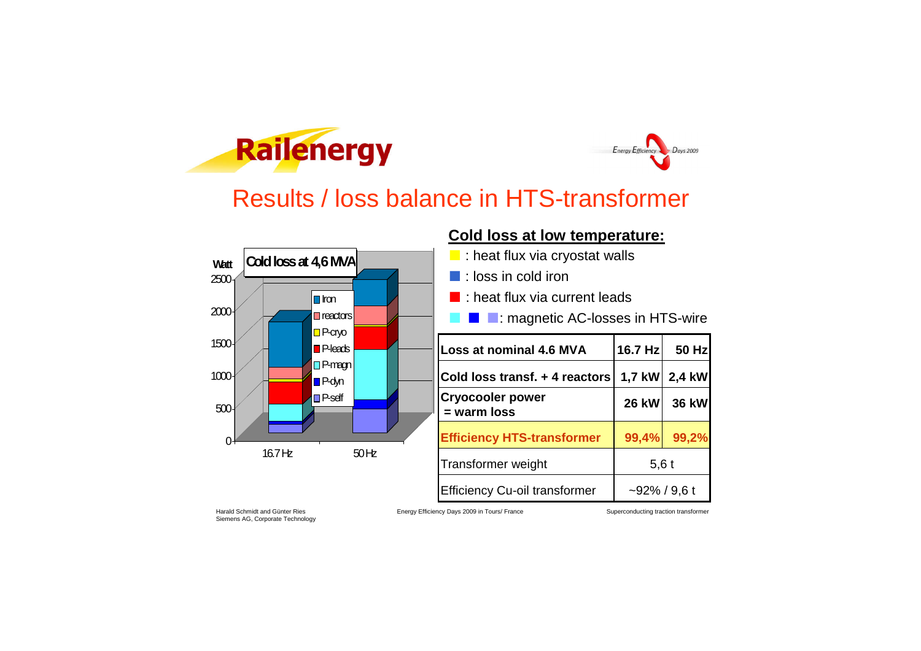Harald Schmidt and Günter Ries **Energy Efficiency Days 2009 in Tours/ France** 

Superconducting traction transformer









### Results / loss balance in HTS-transformer

| <b>Loss at nominal 4.6 MVA</b>           | 16.7 Hz         | <b>50 Hz</b> |  |
|------------------------------------------|-----------------|--------------|--|
| Cold loss transf. + 4 reactors           | $1,7$ kW        | 2,4 kW       |  |
| <b>Cryocooler power</b><br>$=$ warm loss | <b>26 kW</b>    | 36 kW        |  |
| <b>Efficiency HTS-transformer</b>        | 99,4%           | 99,2%        |  |
| Transformer weight                       | $5,6$ t         |              |  |
| <b>Efficiency Cu-oil transformer</b>     | $-92\%$ / 9,6 t |              |  |

#### **Cold loss at low temperature:**

- : heat flux via cryostat walls
- : loss in cold iron
- : heat flux via current leads
	- : magnetic AC-losses in HTS-wire

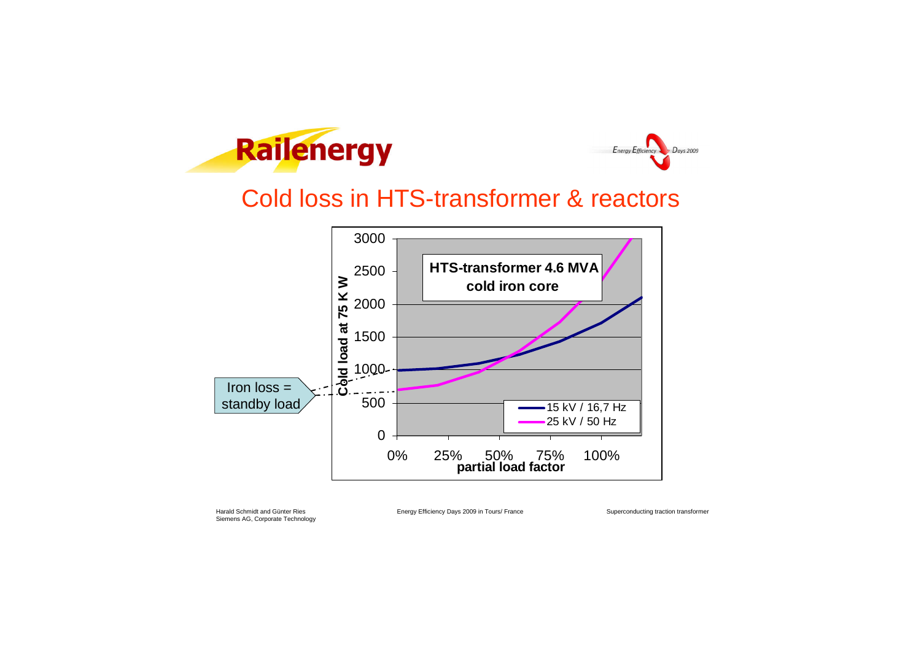Harald Schmidt and Günter Ries **Energy Efficiency Days 2009 in Tours/ France** 

Superconducting traction transformer





### Cold loss in HTS-transformer & reactors

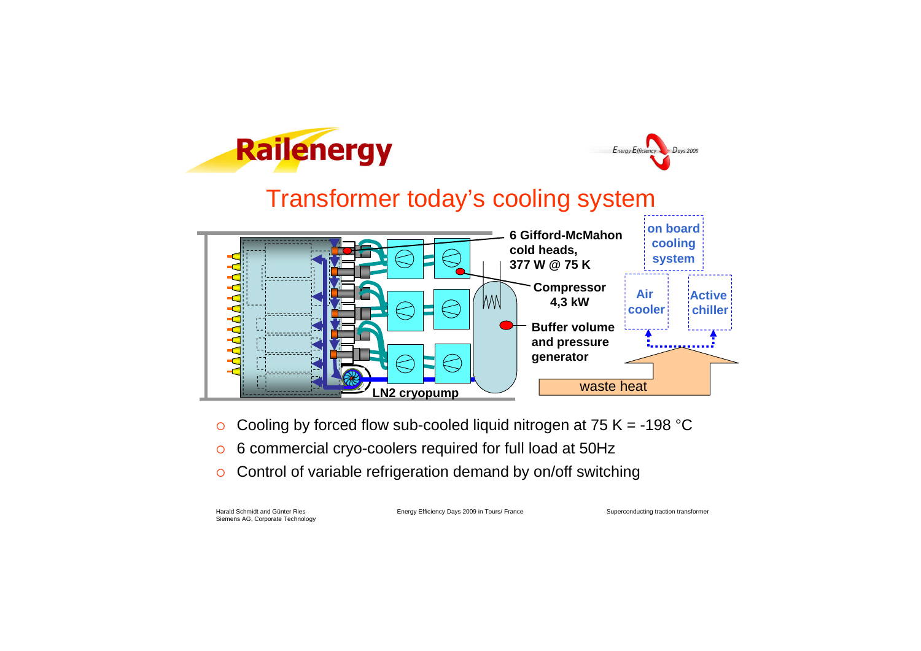Harald Schmidt and Günter Ries **Energy Efficiency Days 2009 in Tours/ France** 

Superconducting traction transformer

 $D<sub>ays</sub> 2009$ 

Energy Efficiency



## Transformer today's cooling system

- Cooling by forced flow sub-cooled liquid nitrogen at 75 K = -198 °C
- 6 commercial cryo-coolers required for full load at 50Hz
- Control of variable refrigeration demand by on/off switching

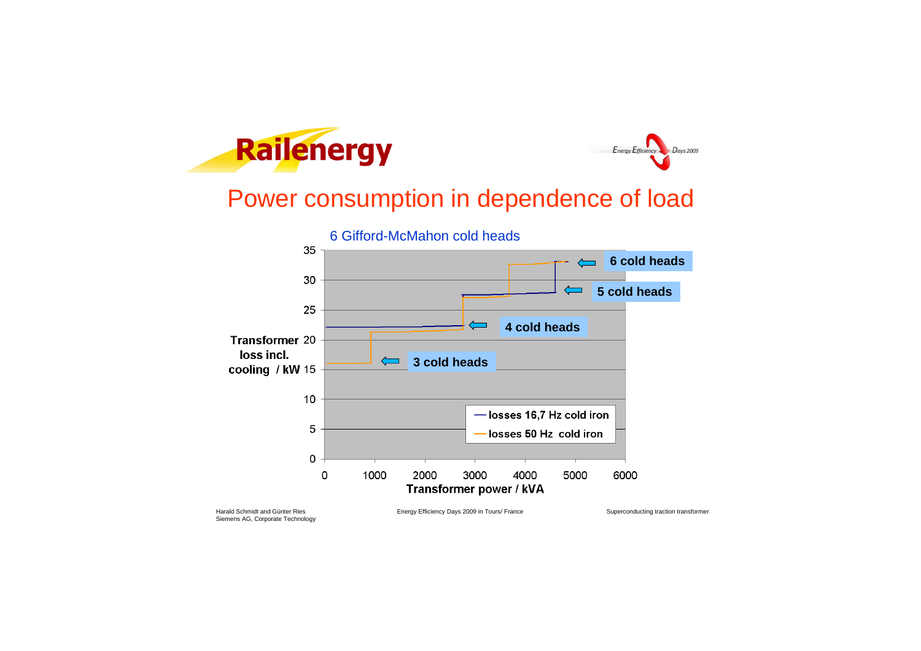



### Power consumption in dependence of load

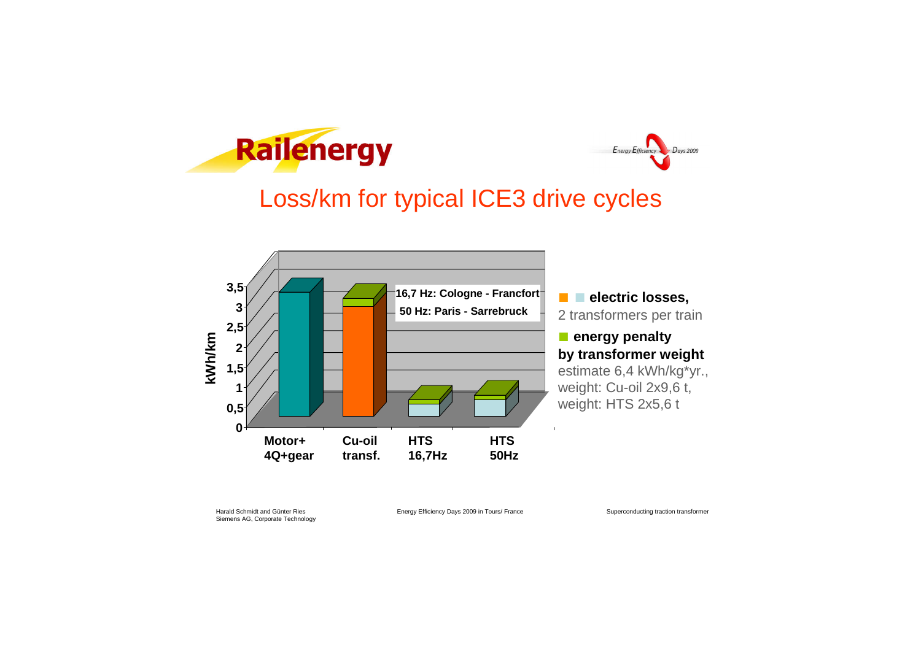Harald Schmidt and Günter Ries **Energy Efficiency Days 2009 in Tours/ France** 

Superconducting traction transformer





### Loss/km for typical ICE3 drive cycles

■ ■ **electric losses,** 2 transformers per train

#### ■ **energy penalty by transformer weight** estimate 6,4 kWh/kg\*yr.,

weight: Cu-oil 2x9,6 t, weight: HTS 2x5,6 t

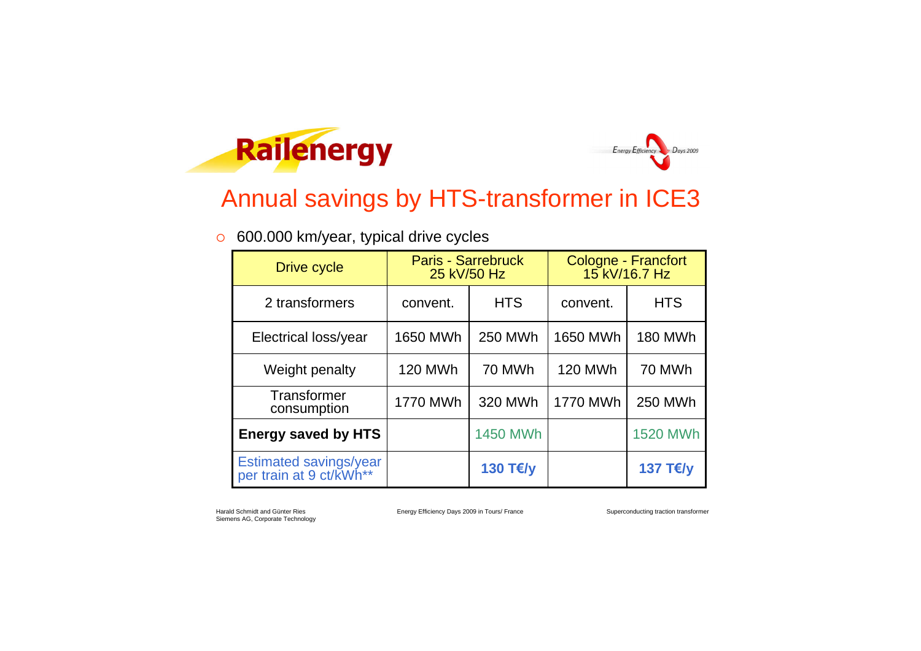Harald Schmidt and Günter Ries **Energy Efficiency Days 2009 in Tours/ France** 

Superconducting traction transformer





### Annual savings by HTS-transformer in ICE3

### 600.000 km/year, typical drive cycles

| <b>Drive cycle</b>                                | <b>Paris - Sarrebruck</b><br>25 kV/50 Hz |                 | Cologne - Francfort<br>15 kV/16.7 Hz |                 |
|---------------------------------------------------|------------------------------------------|-----------------|--------------------------------------|-----------------|
| 2 transformers                                    | convent.                                 | <b>HTS</b>      | convent.                             | <b>HTS</b>      |
| Electrical loss/year                              | 1650 MWh                                 | <b>250 MWh</b>  | <b>1650 MWh</b>                      | <b>180 MWh</b>  |
| Weight penalty                                    | <b>120 MWh</b>                           | 70 MWh          | <b>120 MWh</b>                       | 70 MWh          |
| Transformer<br>consumption                        | 1770 MWh                                 | 320 MWh         | <b>1770 MWh</b>                      | <b>250 MWh</b>  |
| <b>Energy saved by HTS</b>                        |                                          | <b>1450 MWh</b> |                                      | <b>1520 MWh</b> |
| Estimated savings/year<br>per train at 9 ct/kWh** |                                          | 130 T€/y        |                                      | 137 T€/y        |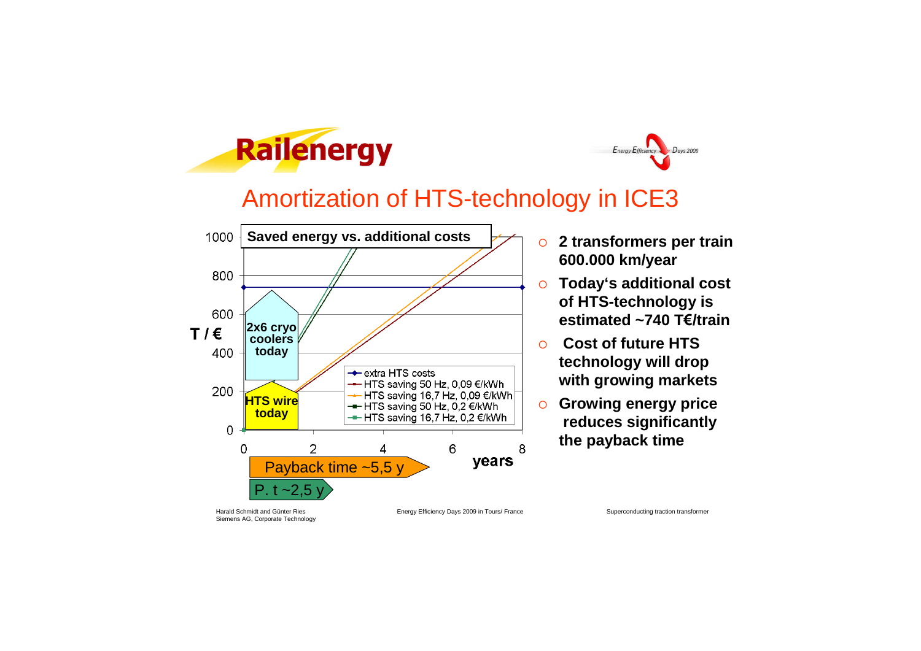Harald Schmidt and Günter Ries **Energy Efficiency Days 2009 in Tours/ France** 

Superconducting traction transformer

Days 2009



## Amortization of HTS-technology in ICE3

 **2 transformers per train 600.000 km/year**

Energy Efficiency

- **Today's additional cost of HTS-technology is estimated ~740 T€/train**
- **Cost of future HTS technology will drop with growing markets**
- **Growing energy price reduces significantly the payback time**

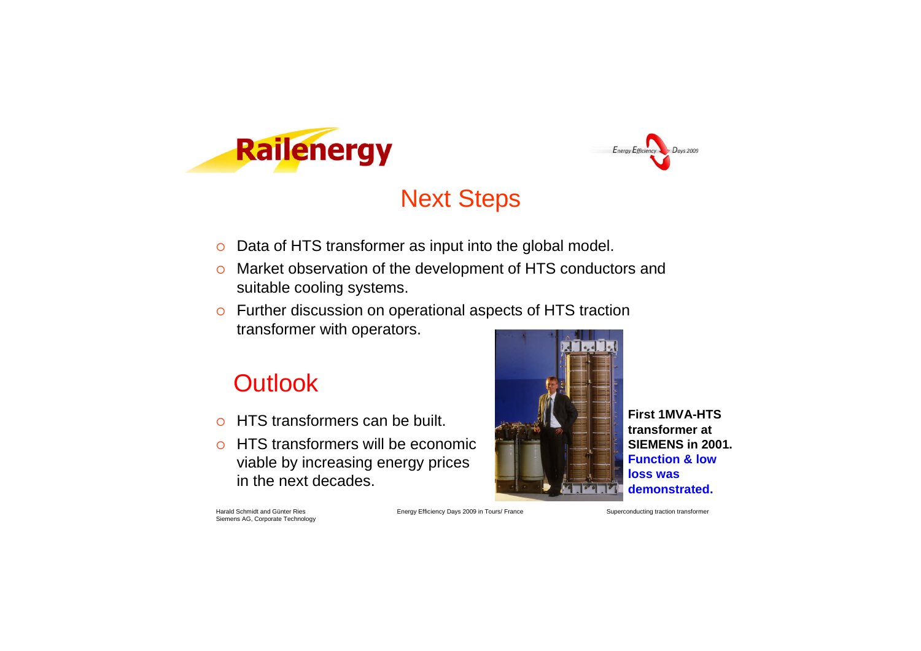Harald Schmidt and Günter Ries **Energy Efficiency Days 2009 in Tours/ France** 

Superconducting traction transformer





# Next Steps

- o Data of HTS transformer as input into the global model.
- o Market observation of the development of HTS conductors and suitable cooling systems.
- Further discussion on operational aspects of HTS traction transformer with operators.

### **Outlook**

- HTS transformers can be built.
- o HTS transformers will be economic viable by increasing energy prices in the next decades.



**First 1MVA-HTS transformer at SIEMENS in 2001. Function & low loss was demonstrated.**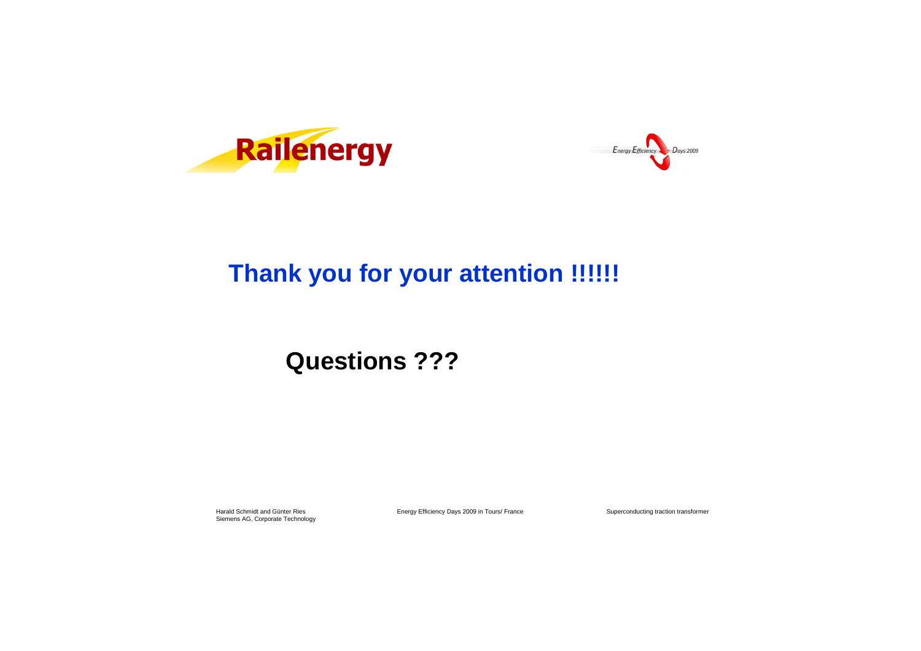Harald Schmidt and Günter Ries **Energy Efficiency Days 2009 in Tours/ France** 

Superconducting traction transformer





## **Thank you for your attention !!!!!!**

### **Questions ???**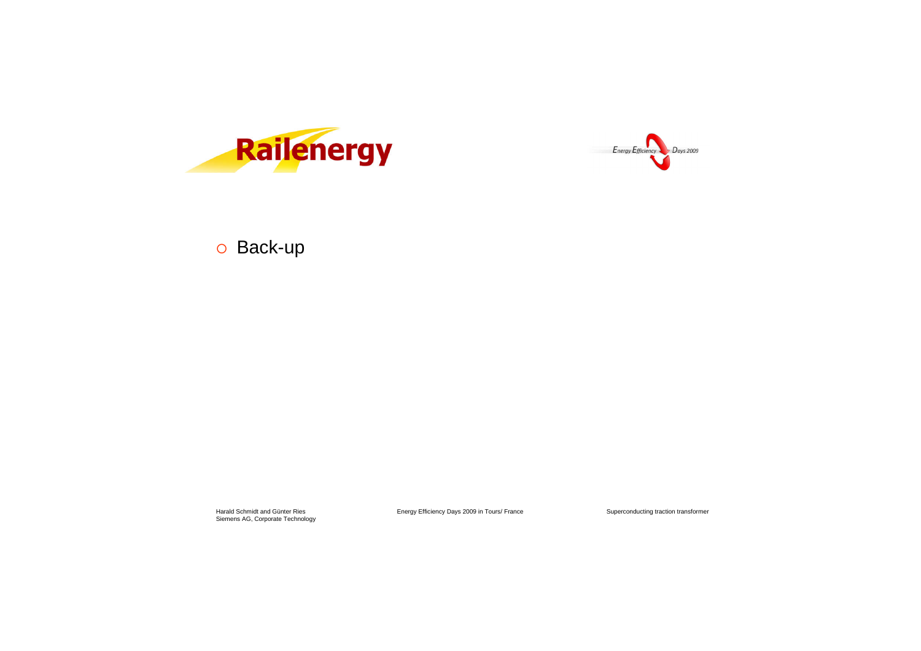



### o Back-up

Harald Schmidt and Günter Ries<br>Siemens AG, Corporate Technology

Energy Efficiency Days 2009 in Tours/ France

Superconducting traction transformer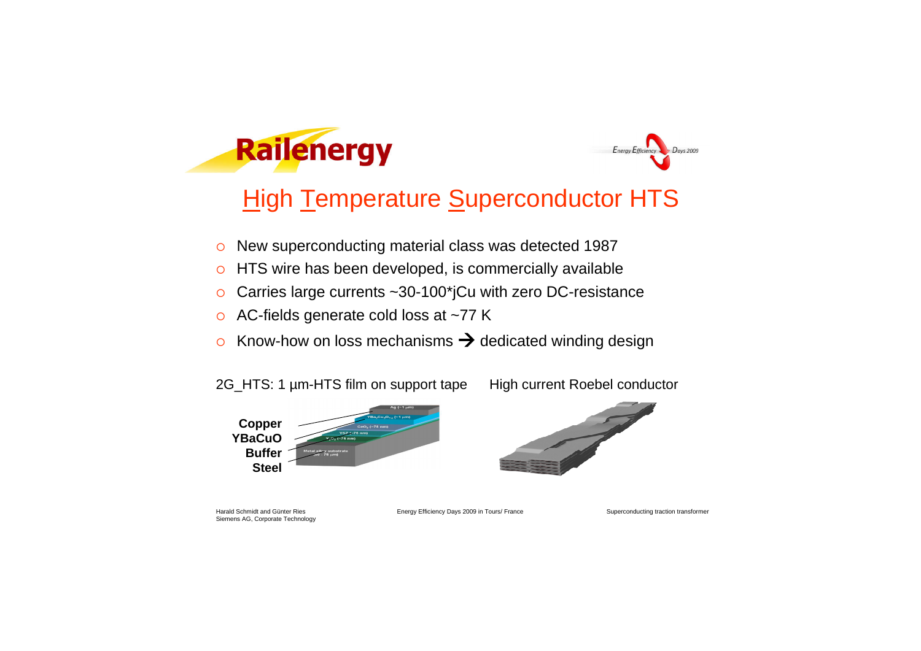



### **High Temperature Superconductor HTS**

- o New superconducting material class was detected 1987
- o HTS wire has been developed, is commercially available
- Carries large currents ~30-100\*jCu with zero DC-resistance
- o AC-fields generate cold loss at ~77 K
- $\circ$  Know-how on loss mechanisms  $\rightarrow$  dedicated winding design

Siemens AG, Corporate Technology

Harald Schmidt and Günter Ries **Energy Efficiency Days 2009 in Tours/ France** 

Superconducting traction transformer

2G\_HTS: 1 µm-HTS film on support tape High current Roebel conductor



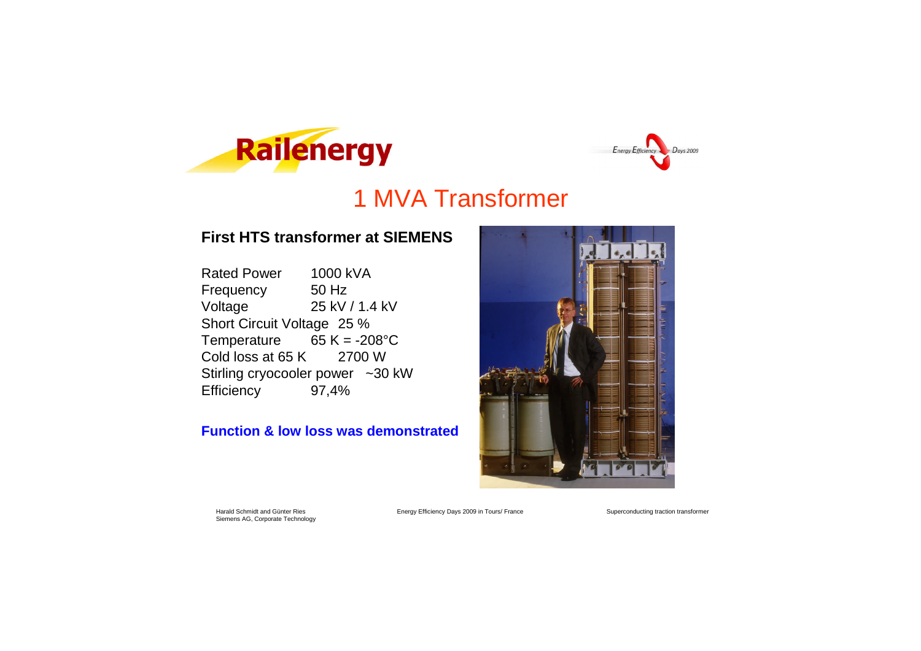Harald Schmidt and Günter Ries **Energy Efficiency Days 2009 in Tours/ France** 

Superconducting traction transformer

#### **First HTS transformer at SIEMENS**

Rated Power 1000 kVA Frequency 50 Hz Voltage 25 kV / 1.4 kV Short Circuit Voltage 25 % Temperature  $65 K = -208°C$ Cold loss at 65 K 2700 W Stirling cryocooler power ~30 kW Efficiency 97,4%

#### **Function & low loss was demonstrated**







### 1 MVA Transformer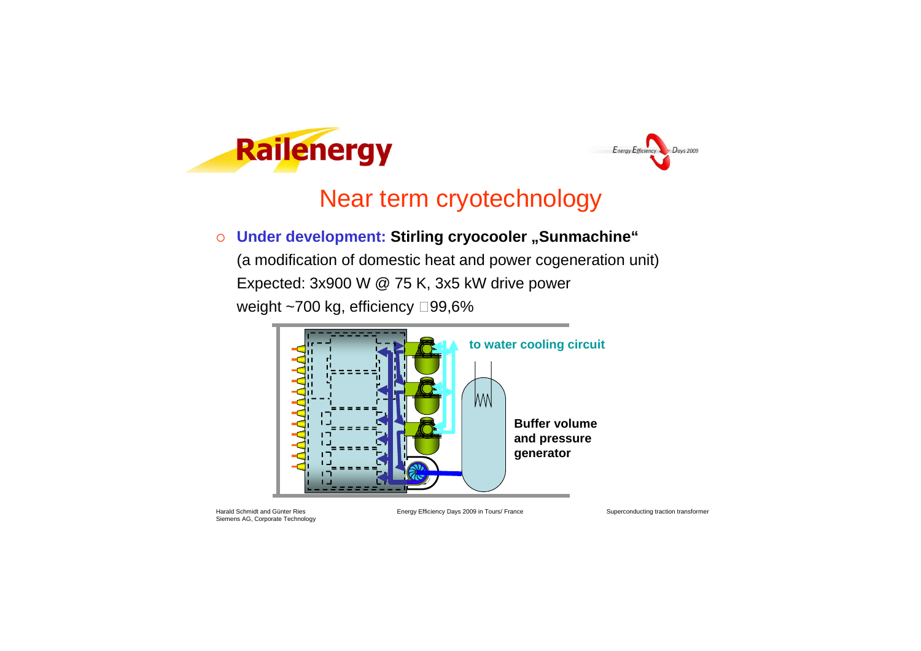Harald Schmidt and Günter Ries **Energy Efficiency Days 2009 in Tours/ France** 

(a modification of domestic heat and power cogeneration unit) Expected: 3x900 W @ 75 K, 3x5 kW drive power weight  $\sim$ 700 kg, efficiency  $\Box$ 99,6%

Superconducting traction transformer





### Near term cryotechnology

 $\circ$  Under development: Stirling cryocooler "Sunmachine"

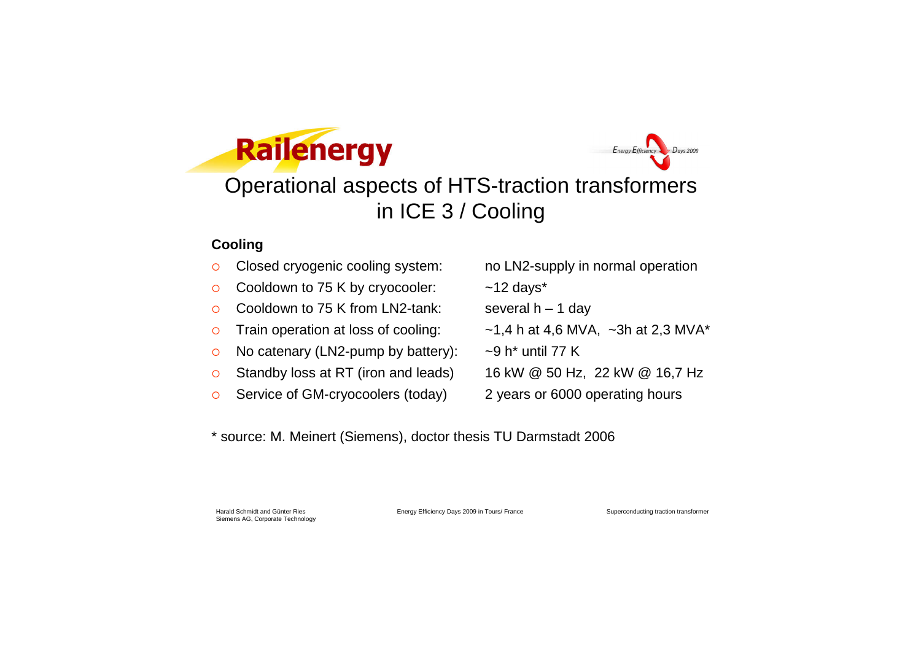Harald Schmidt and Günter Ries **Energy Efficiency Days 2009 in Tours/ France** 

Superconducting traction transformer





### Operational aspects of HTS-traction transformers in ICE 3 / Cooling

#### **Cooling**

- Closed cryogenic cooling system: no LN2-supply in normal operation
- Cooldown to 75 K by cryocooler: ~12 days\*
- Cooldown to 75 K from LN2-tank: several  $h 1$  day
- o Train operation at loss of cooling:  $\sim$  1,4 h at 4,6 MVA, ~3h at 2,3 MVA\*
- $\circ$  No catenary (LN2-pump by battery):  $\sim$ 9 h<sup>\*</sup> until 77 K
- Standby loss at RT (iron and leads) 16 kW @ 50 Hz, 22 kW @ 16,7 Hz
- Service of GM-cryocoolers (today) 2 years or 6000 operating hours
- 
- 
- 
- 
- 
- 
- 

\* source: M. Meinert (Siemens), doctor thesis TU Darmstadt 2006